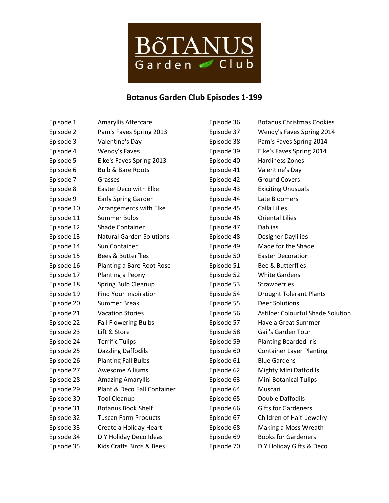

## **Botanus Garden Club Episodes 1-199**

| Episode 1  | Amaryllis Aftercare             |
|------------|---------------------------------|
| Episode 2  | Pam's Faves Spring 2013         |
| Episode 3  | Valentine's Day                 |
| Episode 4  | <b>Wendy's Faves</b>            |
| Episode 5  | Elke's Faves Spring 2013        |
| Episode 6  | <b>Bulb &amp; Bare Roots</b>    |
| Episode 7  | Grasses                         |
| Episode 8  | Easter Deco with Elke           |
| Episode 9  | <b>Early Spring Garden</b>      |
| Episode 10 | Arrangements with Elke          |
| Episode 11 | Summer Bulbs                    |
| Episode 12 | Shade Container                 |
| Episode 13 | <b>Natural Garden Solutions</b> |
| Episode 14 | <b>Sun Container</b>            |
| Episode 15 | Bees & Butterflies              |
| Episode 16 | Planting a Bare Root Rose       |
| Episode 17 | Planting a Peony                |
| Episode 18 | <b>Spring Bulb Cleanup</b>      |
| Episode 19 | Find Your Inspiration           |
| Episode 20 | Summer Break                    |
| Episode 21 | <b>Vacation Stories</b>         |
| Episode 22 | <b>Fall Flowering Bulbs</b>     |
| Episode 23 | Lift & Store                    |
| Episode 24 | <b>Terrific Tulips</b>          |
| Episode 25 | <b>Dazzling Daffodils</b>       |
| Episode 26 | <b>Planting Fall Bulbs</b>      |
| Episode 27 | Awesome Alliums                 |
| Episode 28 | <b>Amazing Amaryllis</b>        |
| Episode 29 | Plant & Deco Fall Container     |
| Episode 30 | <b>Tool Cleanup</b>             |
| Episode 31 | <b>Botanus Book Shelf</b>       |
| Episode 32 | <b>Tuscan Farm Products</b>     |
| Episode 33 | Create a Holiday Heart          |
| Episode 34 | DIY Holiday Deco Ideas          |
| Episode 35 | Kids Crafts Birds & Bees        |

| Episode 36 | <b>Botanus Christmas Cookies</b>  |
|------------|-----------------------------------|
| Episode 37 | Wendy's Faves Spring 2014         |
| Episode 38 | Pam's Faves Spring 2014           |
| Episode 39 | Elke's Faves Spring 2014          |
| Episode 40 | <b>Hardiness Zones</b>            |
| Episode 41 | Valentine's Day                   |
| Episode 42 | <b>Ground Covers</b>              |
| Episode 43 | <b>Exiciting Unusuals</b>         |
| Episode 44 | Late Bloomers                     |
| Episode 45 | Calla Lilies                      |
| Episode 46 | <b>Oriental Lilies</b>            |
| Episode 47 | Dahlias                           |
| Episode 48 | <b>Designer Daylilies</b>         |
| Episode 49 | Made for the Shade                |
| Episode 50 | <b>Easter Decoration</b>          |
| Episode 51 | <b>Bee &amp; Butterflies</b>      |
| Episode 52 | <b>White Gardens</b>              |
| Episode 53 | Strawberries                      |
| Episode 54 | <b>Drought Tolerant Plants</b>    |
| Episode 55 | <b>Deer Solutions</b>             |
| Episode 56 | Astilbe: Colourful Shade Solution |
| Episode 57 | Have a Great Summer               |
| Episode 58 | Gail's Garden Tour                |
| Episode 59 | <b>Planting Bearded Iris</b>      |
| Episode 60 | <b>Container Layer Planting</b>   |
| Episode 61 | <b>Blue Gardens</b>               |
| Episode 62 | <b>Mighty Mini Daffodils</b>      |
| Episode 63 | Mini Botanical Tulips             |
| Episode 64 | Muscari                           |
| Episode 65 | Double Daffodils                  |
| Episode 66 | <b>Gifts for Gardeners</b>        |
| Episode 67 | Children of Haiti Jewelry         |
| Episode 68 | Making a Moss Wreath              |
| Episode 69 | <b>Books for Gardeners</b>        |
| Episode 70 | DIY Holiday Gifts & Deco          |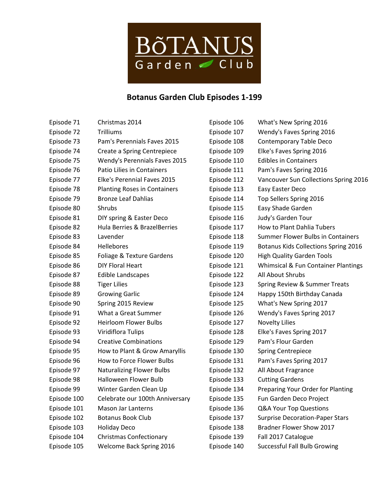

## **Botanus Garden Club Episodes 1-199**

| Episode 71  | Christmas 2014                      | Episode 106 | What's New Spring 2016                 |
|-------------|-------------------------------------|-------------|----------------------------------------|
| Episode 72  | <b>Trilliums</b>                    | Episode 107 | Wendy's Faves Spring 2016              |
| Episode 73  | Pam's Perennials Faves 2015         | Episode 108 | Contemporary Table Deco                |
| Episode 74  | Create a Spring Centrepiece         | Episode 109 | Elke's Faves Spring 2016               |
| Episode 75  | Wendy's Perennials Faves 2015       | Episode 110 | <b>Edibles in Containers</b>           |
| Episode 76  | Patio Lilies in Containers          | Episode 111 | Pam's Faves Spring 2016                |
| Episode 77  | Elke's Perennial Faves 2015         | Episode 112 | Vancouver Sun Collections Spring 2016  |
| Episode 78  | <b>Planting Roses in Containers</b> | Episode 113 | Easy Easter Deco                       |
| Episode 79  | <b>Bronze Leaf Dahlias</b>          | Episode 114 | Top Sellers Spring 2016                |
| Episode 80  | Shrubs                              | Episode 115 | Easy Shade Garden                      |
| Episode 81  | DIY spring & Easter Deco            | Episode 116 | Judy's Garden Tour                     |
| Episode 82  | Hula Berries & BrazelBerries        | Episode 117 | How to Plant Dahlia Tubers             |
| Episode 83  | Lavender                            | Episode 118 | Summer Flower Bulbs in Containers      |
| Episode 84  | Hellebores                          | Episode 119 | Botanus Kids Collections Spring 2016   |
| Episode 85  | Foliage & Texture Gardens           | Episode 120 | <b>High Quality Garden Tools</b>       |
| Episode 86  | <b>DIY Floral Heart</b>             | Episode 121 | Whimsical & Fun Container Plantings    |
| Episode 87  | <b>Edible Landscapes</b>            | Episode 122 | All About Shrubs                       |
| Episode 88  | <b>Tiger Lilies</b>                 | Episode 123 | Spring Review & Summer Treats          |
| Episode 89  | <b>Growing Garlic</b>               | Episode 124 | Happy 150th Birthday Canada            |
| Episode 90  | Spring 2015 Review                  | Episode 125 | What's New Spring 2017                 |
| Episode 91  | What a Great Summer                 | Episode 126 | Wendy's Faves Spring 2017              |
| Episode 92  | <b>Heirloom Flower Bulbs</b>        | Episode 127 | <b>Novelty Lilies</b>                  |
| Episode 93  | Viridiflora Tulips                  | Episode 128 | Elke's Faves Spring 2017               |
| Episode 94  | <b>Creative Combinations</b>        | Episode 129 | Pam's Flour Garden                     |
| Episode 95  | How to Plant & Grow Amaryllis       | Episode 130 | <b>Spring Centrepiece</b>              |
| Episode 96  | How to Force Flower Bulbs           | Episode 131 | Pam's Faves Spring 2017                |
| Episode 97  | <b>Naturalizing Flower Bulbs</b>    | Episode 132 | All About Fragrance                    |
| Episode 98  | <b>Halloween Flower Bulb</b>        | Episode 133 | <b>Cutting Gardens</b>                 |
| Episode 99  | Winter Garden Clean Up              | Episode 134 | Preparing Your Order for Planting      |
| Episode 100 | Celebrate our 100th Anniversary     | Episode 135 | Fun Garden Deco Project                |
| Episode 101 | <b>Mason Jar Lanterns</b>           | Episode 136 | Q&A Your Top Questions                 |
| Episode 102 | Botanus Book Club                   | Episode 137 | <b>Surprise Decoration-Paper Stars</b> |
| Episode 103 | <b>Holiday Deco</b>                 | Episode 138 | Bradner Flower Show 2017               |
| Episode 104 | <b>Christmas Confectionary</b>      | Episode 139 | Fall 2017 Catalogue                    |
| Episode 105 | Welcome Back Spring 2016            | Episode 140 | <b>Successful Fall Bulb Growing</b>    |